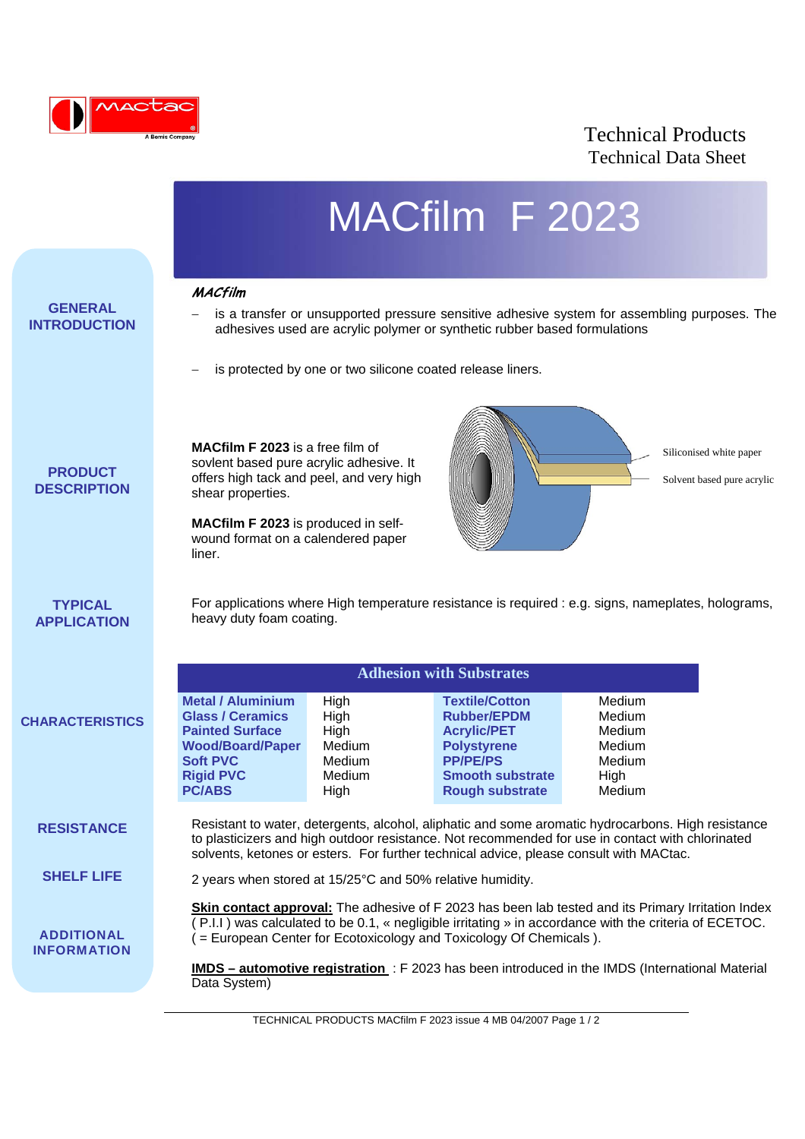

## Technical Products Technical Data Sheet

|                                         |                                                                                                                                                                                                                                                                                                  |                                                            | MACfilm F 2023                                                                                                                                           |                                                                  |  |
|-----------------------------------------|--------------------------------------------------------------------------------------------------------------------------------------------------------------------------------------------------------------------------------------------------------------------------------------------------|------------------------------------------------------------|----------------------------------------------------------------------------------------------------------------------------------------------------------|------------------------------------------------------------------|--|
|                                         |                                                                                                                                                                                                                                                                                                  |                                                            |                                                                                                                                                          |                                                                  |  |
| <b>GENERAL</b><br><b>INTRODUCTION</b>   | <b>MACfilm</b><br>is a transfer or unsupported pressure sensitive adhesive system for assembling purposes. The<br>adhesives used are acrylic polymer or synthetic rubber based formulations                                                                                                      |                                                            |                                                                                                                                                          |                                                                  |  |
|                                         | is protected by one or two silicone coated release liners.                                                                                                                                                                                                                                       |                                                            |                                                                                                                                                          |                                                                  |  |
| <b>PRODUCT</b><br><b>DESCRIPTION</b>    | <b>MACfilm F 2023</b> is a free film of<br>sovlent based pure acrylic adhesive. It<br>offers high tack and peel, and very high<br>shear properties.<br>MACfilm F 2023 is produced in self-<br>wound format on a calendered paper<br>liner.                                                       |                                                            |                                                                                                                                                          | Siliconised white paper<br>Solvent based pure acrylic            |  |
| <b>TYPICAL</b><br><b>APPLICATION</b>    | For applications where High temperature resistance is required : e.g. signs, nameplates, holograms,<br>heavy duty foam coating.                                                                                                                                                                  |                                                            |                                                                                                                                                          |                                                                  |  |
|                                         | <b>Adhesion with Substrates</b>                                                                                                                                                                                                                                                                  |                                                            |                                                                                                                                                          |                                                                  |  |
| <b>CHARACTERISTICS</b>                  | <b>Metal / Aluminium</b><br><b>Glass / Ceramics</b><br><b>Painted Surface</b><br><b>Wood/Board/Paper</b><br><b>Soft PVC</b><br><b>Rigid PVC</b><br><b>PC/ABS</b>                                                                                                                                 | High<br>High<br>High<br>Medium<br>Medium<br>Medium<br>High | <b>Textile/Cotton</b><br><b>Rubber/EPDM</b><br><b>Acrylic/PET</b><br><b>Polystyrene</b><br><b>PP/PE/PS</b><br><b>Smooth substrate</b><br>Rough substrate | Medium<br>Medium<br>Medium<br>Medium<br>Medium<br>High<br>Medium |  |
| <b>RESISTANCE</b>                       | Resistant to water, detergents, alcohol, aliphatic and some aromatic hydrocarbons. High resistance<br>to plasticizers and high outdoor resistance. Not recommended for use in contact with chlorinated<br>solvents, ketones or esters. For further technical advice, please consult with MACtac. |                                                            |                                                                                                                                                          |                                                                  |  |
| <b>SHELF LIFE</b>                       | 2 years when stored at 15/25°C and 50% relative humidity.                                                                                                                                                                                                                                        |                                                            |                                                                                                                                                          |                                                                  |  |
| <b>ADDITIONAL</b><br><b>INFORMATION</b> | <b>Skin contact approval:</b> The adhesive of F 2023 has been lab tested and its Primary Irritation Index<br>(P.I.I) was calculated to be 0.1, « negligible irritating » in accordance with the criteria of ECETOC.<br>( = European Center for Ecotoxicology and Toxicology Of Chemicals ).      |                                                            |                                                                                                                                                          |                                                                  |  |
|                                         | IMDS - automotive registration: F 2023 has been introduced in the IMDS (International Material<br>Data System)                                                                                                                                                                                   |                                                            |                                                                                                                                                          |                                                                  |  |